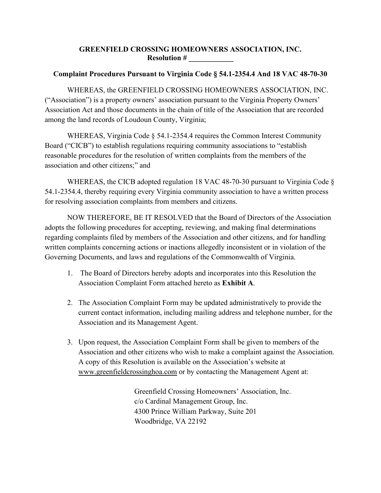## **GREENFIELD CROSSING HOMEOWNERS ASSOCIATION, INC. Resolution # \_\_\_\_\_\_\_\_\_\_\_\_**

## **Complaint Procedures Pursuant to Virginia Code § 54.1-2354.4 And 18 VAC 48-70-30**

WHEREAS, the GREENFIELD CROSSING HOMEOWNERS ASSOCIATION, INC. ("Association") is a property owners' association pursuant to the Virginia Property Owners' Association Act and those documents in the chain of title of the Association that are recorded among the land records of Loudoun County, Virginia;

WHEREAS, Virginia Code § 54.1-2354.4 requires the Common Interest Community Board ("CICB") to establish regulations requiring community associations to "establish reasonable procedures for the resolution of written complaints from the members of the association and other citizens;" and

WHEREAS, the CICB adopted regulation 18 VAC 48-70-30 pursuant to Virginia Code § 54.1-2354.4, thereby requiring every Virginia community association to have a written process for resolving association complaints from members and citizens.

NOW THEREFORE, BE IT RESOLVED that the Board of Directors of the Association adopts the following procedures for accepting, reviewing, and making final determinations regarding complaints filed by members of the Association and other citizens, and for handling written complaints concerning actions or inactions allegedly inconsistent or in violation of the Governing Documents, and laws and regulations of the Commonwealth of Virginia.

- 1. The Board of Directors hereby adopts and incorporates into this Resolution the Association Complaint Form attached hereto as **Exhibit A**.
- 2. The Association Complaint Form may be updated administratively to provide the current contact information, including mailing address and telephone number, for the Association and its Management Agent.
- 3. Upon request, the Association Complaint Form shall be given to members of the Association and other citizens who wish to make a complaint against the Association. A copy of this Resolution is available on the Association's website at [www.greenfieldcrossinghoa.com](http://www.greenfieldcrossinghoa.com/) or by contacting the Management Agent at:

Greenfield Crossing Homeowners' Association, Inc. c/o Cardinal Management Group, Inc. 4300 Prince William Parkway, Suite 201 Woodbridge, VA 22192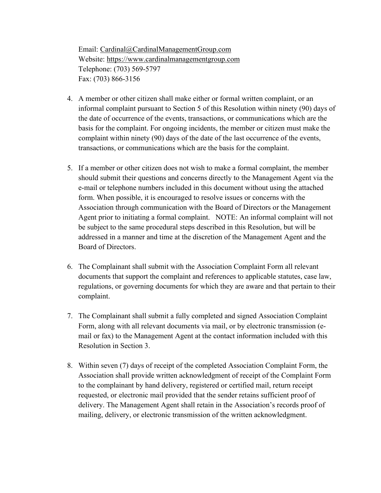Email: [Cardinal@CardinalManagementGroup.com](mailto:Cardinal@CardinalManagementGroup.com) Website: [https://www.cardinalmanagementgroup.com](https://www.cardinalmanagementgroup.com/) Telephone: (703) 569-5797 Fax: (703) 866-3156

- 4. A member or other citizen shall make either or formal written complaint, or an informal complaint pursuant to Section 5 of this Resolution within ninety (90) days of the date of occurrence of the events, transactions, or communications which are the basis for the complaint. For ongoing incidents, the member or citizen must make the complaint within ninety (90) days of the date of the last occurrence of the events, transactions, or communications which are the basis for the complaint.
- 5. If a member or other citizen does not wish to make a formal complaint, the member should submit their questions and concerns directly to the Management Agent via the e-mail or telephone numbers included in this document without using the attached form. When possible, it is encouraged to resolve issues or concerns with the Association through communication with the Board of Directors or the Management Agent prior to initiating a formal complaint. NOTE: An informal complaint will not be subject to the same procedural steps described in this Resolution, but will be addressed in a manner and time at the discretion of the Management Agent and the Board of Directors.
- 6. The Complainant shall submit with the Association Complaint Form all relevant documents that support the complaint and references to applicable statutes, case law, regulations, or governing documents for which they are aware and that pertain to their complaint.
- 7. The Complainant shall submit a fully completed and signed Association Complaint Form, along with all relevant documents via mail, or by electronic transmission (email or fax) to the Management Agent at the contact information included with this Resolution in Section 3.
- 8. Within seven (7) days of receipt of the completed Association Complaint Form, the Association shall provide written acknowledgment of receipt of the Complaint Form to the complainant by hand delivery, registered or certified mail, return receipt requested, or electronic mail provided that the sender retains sufficient proof of delivery. The Management Agent shall retain in the Association's records proof of mailing, delivery, or electronic transmission of the written acknowledgment.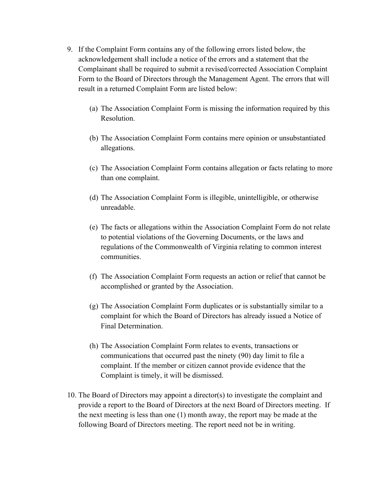- 9. If the Complaint Form contains any of the following errors listed below, the acknowledgement shall include a notice of the errors and a statement that the Complainant shall be required to submit a revised/corrected Association Complaint Form to the Board of Directors through the Management Agent. The errors that will result in a returned Complaint Form are listed below:
	- (a) The Association Complaint Form is missing the information required by this Resolution.
	- (b) The Association Complaint Form contains mere opinion or unsubstantiated allegations.
	- (c) The Association Complaint Form contains allegation or facts relating to more than one complaint.
	- (d) The Association Complaint Form is illegible, unintelligible, or otherwise unreadable.
	- (e) The facts or allegations within the Association Complaint Form do not relate to potential violations of the Governing Documents, or the laws and regulations of the Commonwealth of Virginia relating to common interest communities.
	- (f) The Association Complaint Form requests an action or relief that cannot be accomplished or granted by the Association.
	- (g) The Association Complaint Form duplicates or is substantially similar to a complaint for which the Board of Directors has already issued a Notice of Final Determination.
	- (h) The Association Complaint Form relates to events, transactions or communications that occurred past the ninety (90) day limit to file a complaint. If the member or citizen cannot provide evidence that the Complaint is timely, it will be dismissed.
- 10. The Board of Directors may appoint a director(s) to investigate the complaint and provide a report to the Board of Directors at the next Board of Directors meeting. If the next meeting is less than one (1) month away, the report may be made at the following Board of Directors meeting. The report need not be in writing.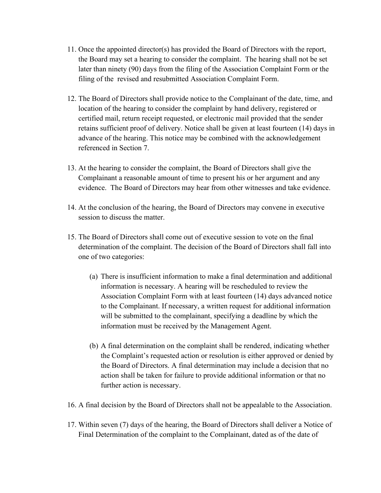- 11. Once the appointed director(s) has provided the Board of Directors with the report, the Board may set a hearing to consider the complaint. The hearing shall not be set later than ninety (90) days from the filing of the Association Complaint Form or the filing of the revised and resubmitted Association Complaint Form.
- 12. The Board of Directors shall provide notice to the Complainant of the date, time, and location of the hearing to consider the complaint by hand delivery, registered or certified mail, return receipt requested, or electronic mail provided that the sender retains sufficient proof of delivery. Notice shall be given at least fourteen (14) days in advance of the hearing. This notice may be combined with the acknowledgement referenced in Section 7.
- 13. At the hearing to consider the complaint, the Board of Directors shall give the Complainant a reasonable amount of time to present his or her argument and any evidence. The Board of Directors may hear from other witnesses and take evidence.
- 14. At the conclusion of the hearing, the Board of Directors may convene in executive session to discuss the matter.
- 15. The Board of Directors shall come out of executive session to vote on the final determination of the complaint. The decision of the Board of Directors shall fall into one of two categories:
	- (a) There is insufficient information to make a final determination and additional information is necessary. A hearing will be rescheduled to review the Association Complaint Form with at least fourteen (14) days advanced notice to the Complainant. If necessary, a written request for additional information will be submitted to the complainant, specifying a deadline by which the information must be received by the Management Agent.
	- (b) A final determination on the complaint shall be rendered, indicating whether the Complaint's requested action or resolution is either approved or denied by the Board of Directors. A final determination may include a decision that no action shall be taken for failure to provide additional information or that no further action is necessary.
- 16. A final decision by the Board of Directors shall not be appealable to the Association.
- 17. Within seven (7) days of the hearing, the Board of Directors shall deliver a Notice of Final Determination of the complaint to the Complainant, dated as of the date of